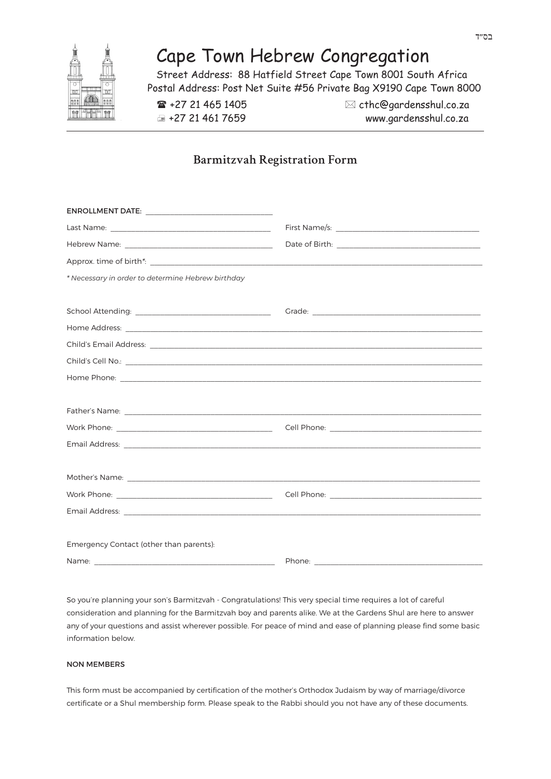# Cape Town Hebrew Congregation

Street Address: 88 Hatfield Street Cape Town 8001 South Africa Postal Address: Post Net Suite #56 Private Bag X9190 Cape Town 8000

 $\mathbf{F}$  +27 21 465 1405  $\boxtimes$  cthc@gardensshul.co.za +27 21 461 7659 www.gardensshul.co.za

# **Barmitzvah Registration Form**

| * Necessary in order to determine Hebrew birthday                             |  |
|-------------------------------------------------------------------------------|--|
|                                                                               |  |
|                                                                               |  |
|                                                                               |  |
|                                                                               |  |
|                                                                               |  |
|                                                                               |  |
|                                                                               |  |
|                                                                               |  |
|                                                                               |  |
|                                                                               |  |
|                                                                               |  |
|                                                                               |  |
|                                                                               |  |
| Email Address: <u>Communication of the Communication of the Communication</u> |  |
|                                                                               |  |
| Emergency Contact (other than parents):                                       |  |
|                                                                               |  |

So you're planning your son's Barmitzvah - Congratulations! This very special time requires a lot of careful consideration and planning for the Barmitzvah boy and parents alike. We at the Gardens Shul are here to answer any of your questions and assist wherever possible. For peace of mind and ease of planning please find some basic information below.

# NON MEMBERS

This form must be accompanied by certification of the mother's Orthodox Judaism by way of marriage/divorce certificate or a Shul membership form. Please speak to the Rabbi should you not have any of these documents.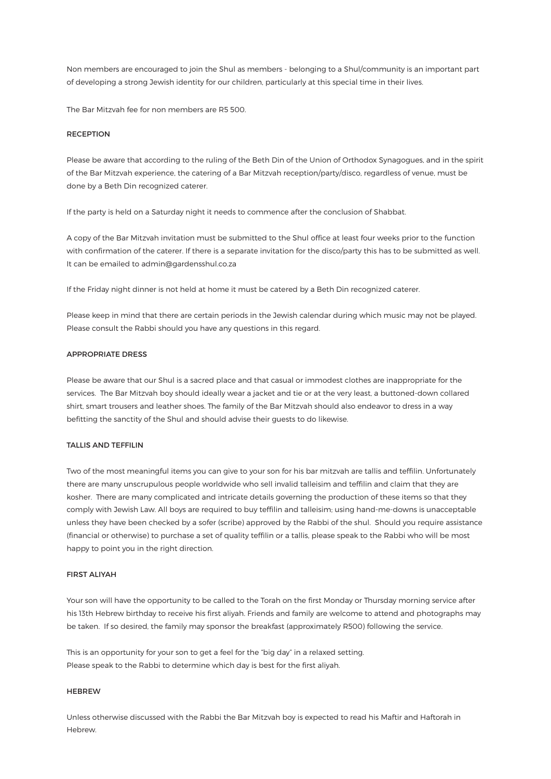Non members are encouraged to join the Shul as members - belonging to a Shul/community is an important part of developing a strong Jewish identity for our children, particularly at this special time in their lives.

The Bar Mitzvah fee for non members are R5 500.

#### **DECEPTION**

Please be aware that according to the ruling of the Beth Din of the Union of Orthodox Synagogues, and in the spirit of the Bar Mitzvah experience, the catering of a Bar Mitzvah reception/party/disco, regardless of venue, must be done by a Beth Din recognized caterer.

If the party is held on a Saturday night it needs to commence after the conclusion of Shabbat.

A copy of the Bar Mitzvah invitation must be submitted to the Shul office at least four weeks prior to the function with confirmation of the caterer. If there is a separate invitation for the disco/party this has to be submitted as well. It can be emailed to admin@gardensshul.co.za

If the Friday night dinner is not held at home it must be catered by a Beth Din recognized caterer.

Please keep in mind that there are certain periods in the Jewish calendar during which music may not be played. Please consult the Rabbi should you have any questions in this regard.

#### APPROPRIATE DRESS

Please be aware that our Shul is a sacred place and that casual or immodest clothes are inappropriate for the services. The Bar Mitzvah boy should ideally wear a jacket and tie or at the very least, a buttoned-down collared shirt, smart trousers and leather shoes. The family of the Bar Mitzvah should also endeavor to dress in a way befitting the sanctity of the Shul and should advise their guests to do likewise.

#### TALLIS AND TEFFILIN

Two of the most meaningful items you can give to your son for his bar mitzvah are tallis and teffilin. Unfortunately there are many unscrupulous people worldwide who sell invalid talleisim and teffilin and claim that they are kosher. There are many complicated and intricate details governing the production of these items so that they comply with Jewish Law. All boys are required to buy teffilin and talleisim; using hand-me-downs is unacceptable unless they have been checked by a sofer (scribe) approved by the Rabbi of the shul. Should you require assistance (financial or otherwise) to purchase a set of quality teffilin or a tallis, please speak to the Rabbi who will be most happy to point you in the right direction.

#### FIRST ALIYAH

Your son will have the opportunity to be called to the Torah on the first Monday or Thursday morning service after his 13th Hebrew birthday to receive his first aliyah. Friends and family are welcome to attend and photographs may be taken. If so desired, the family may sponsor the breakfast (approximately R500) following the service.

This is an opportunity for your son to get a feel for the "big day" in a relaxed setting. Please speak to the Rabbi to determine which day is best for the first aliyah.

#### **HERDEW**

Unless otherwise discussed with the Rabbi the Bar Mitzvah boy is expected to read his Maftir and Haftorah in Hebrew.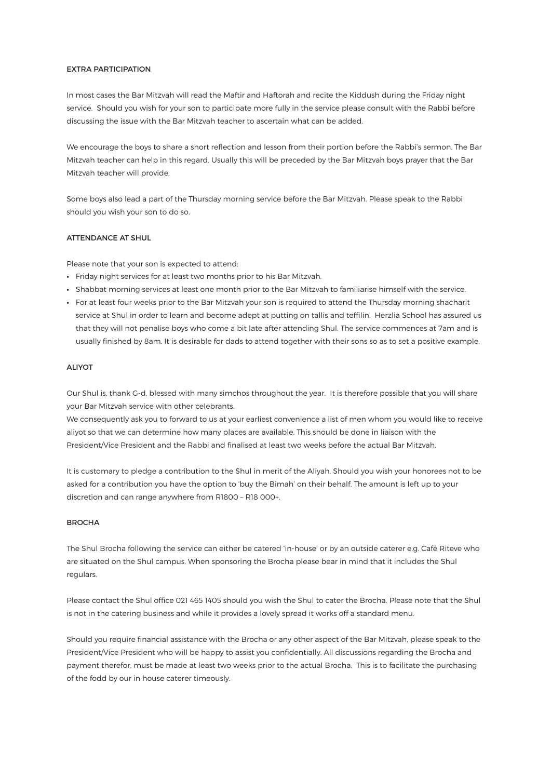#### EXTRA PARTICIPATION

In most cases the Bar Mitzvah will read the Maftir and Haftorah and recite the Kiddush during the Friday night service. Should you wish for your son to participate more fully in the service please consult with the Rabbi before discussing the issue with the Bar Mitzvah teacher to ascertain what can be added.

We encourage the boys to share a short reflection and lesson from their portion before the Rabbi's sermon. The Bar Mitzvah teacher can help in this regard. Usually this will be preceded by the Bar Mitzvah boys prayer that the Bar Mitzvah teacher will provide.

Some boys also lead a part of the Thursday morning service before the Bar Mitzvah. Please speak to the Rabbi should you wish your son to do so.

# ATTENDANCE AT SHUL

Please note that your son is expected to attend:

- Friday night services for at least two months prior to his Bar Mitzvah.
- Shabbat morning services at least one month prior to the Bar Mitzvah to familiarise himself with the service.
- For at least four weeks prior to the Bar Mitzvah your son is required to attend the Thursday morning shacharit service at Shul in order to learn and become adept at putting on tallis and teffilin. Herzlia School has assured us that they will not penalise boys who come a bit late after attending Shul. The service commences at 7am and is usually finished by 8am. It is desirable for dads to attend together with their sons so as to set a positive example.

#### ALIYOT

Our Shul is, thank G-d, blessed with many simchos throughout the year. It is therefore possible that you will share your Bar Mitzvah service with other celebrants.

We consequently ask you to forward to us at your earliest convenience a list of men whom you would like to receive aliyot so that we can determine how many places are available. This should be done in liaison with the President/Vice President and the Rabbi and finalised at least two weeks before the actual Bar Mitzvah.

It is customary to pledge a contribution to the Shul in merit of the Aliyah. Should you wish your honorees not to be asked for a contribution you have the option to 'buy the Bimah' on their behalf. The amount is left up to your discretion and can range anywhere from R1800 – R18 000+.

# BROCHA

The Shul Brocha following the service can either be catered 'in-house' or by an outside caterer e.g. Café Riteve who are situated on the Shul campus. When sponsoring the Brocha please bear in mind that it includes the Shul regulars.

Please contact the Shul office 021 465 1405 should you wish the Shul to cater the Brocha. Please note that the Shul is not in the catering business and while it provides a lovely spread it works off a standard menu.

Should you require financial assistance with the Brocha or any other aspect of the Bar Mitzvah, please speak to the President/Vice President who will be happy to assist you confidentially. All discussions regarding the Brocha and payment therefor, must be made at least two weeks prior to the actual Brocha. This is to facilitate the purchasing of the fodd by our in house caterer timeously.